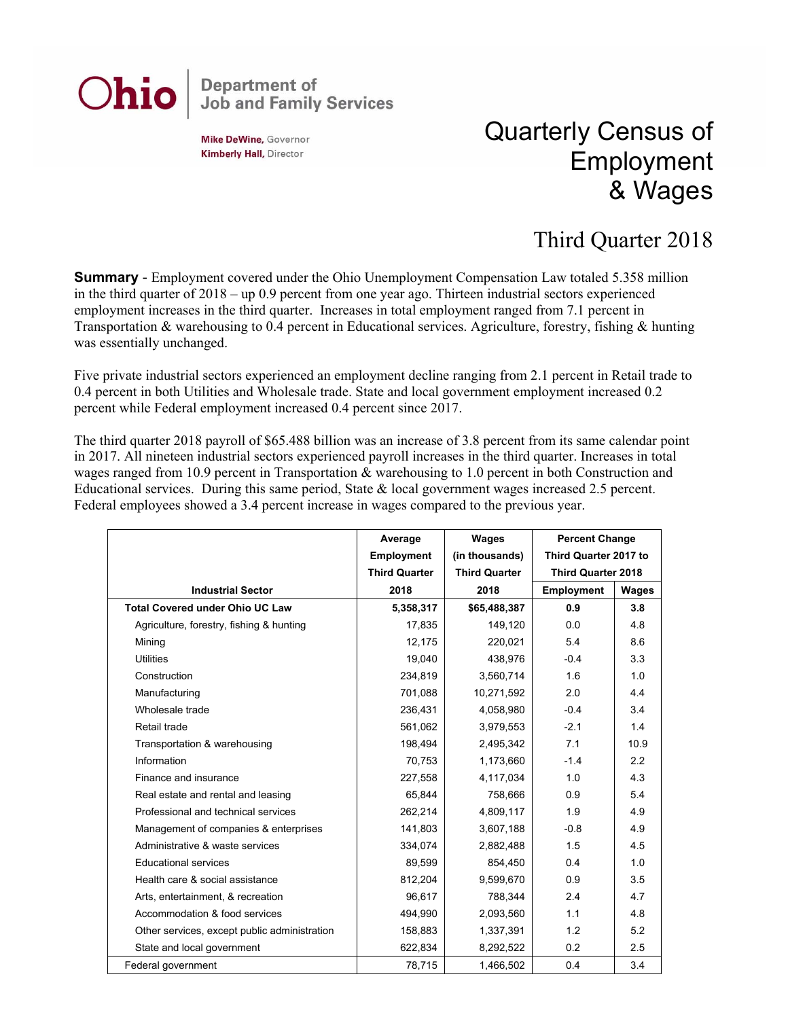## **Department of<br>Job and Family Services** Ohio

**Mike DeWine, Governor Kimberly Hall, Director** 

## Quarterly Census of Employment & Wages

## Third Quarter 2018

**Summary** - Employment covered under the Ohio Unemployment Compensation Law totaled 5.358 million in the third quarter of 2018 – up 0.9 percent from one year ago. Thirteen industrial sectors experienced employment increases in the third quarter. Increases in total employment ranged from 7.1 percent in Transportation & warehousing to 0.4 percent in Educational services. Agriculture, forestry, fishing & hunting was essentially unchanged.

Five private industrial sectors experienced an employment decline ranging from 2.1 percent in Retail trade to 0.4 percent in both Utilities and Wholesale trade. State and local government employment increased 0.2 percent while Federal employment increased 0.4 percent since 2017.

The third quarter 2018 payroll of \$65.488 billion was an increase of 3.8 percent from its same calendar point in 2017. All nineteen industrial sectors experienced payroll increases in the third quarter. Increases in total wages ranged from 10.9 percent in Transportation & warehousing to 1.0 percent in both Construction and Educational services. During this same period, State & local government wages increased 2.5 percent. Federal employees showed a 3.4 percent increase in wages compared to the previous year.

|                                              | Average              | Wages                | <b>Percent Change</b>     |              |
|----------------------------------------------|----------------------|----------------------|---------------------------|--------------|
|                                              | <b>Employment</b>    | (in thousands)       | Third Quarter 2017 to     |              |
|                                              | <b>Third Quarter</b> | <b>Third Quarter</b> | <b>Third Quarter 2018</b> |              |
| <b>Industrial Sector</b>                     | 2018                 | 2018                 | <b>Employment</b>         | <b>Wages</b> |
| <b>Total Covered under Ohio UC Law</b>       | 5,358,317            | \$65,488,387         | 0.9                       | 3.8          |
| Agriculture, forestry, fishing & hunting     | 17,835               | 149,120              | 0.0                       | 4.8          |
| Minina                                       | 12,175               | 220,021              | 5.4                       | 8.6          |
| <b>Utilities</b>                             | 19,040               | 438,976              | $-0.4$                    | 3.3          |
| Construction                                 | 234,819              | 3,560,714            | 1.6                       | 1.0          |
| Manufacturing                                | 701,088              | 10,271,592           | 2.0                       | 4.4          |
| Wholesale trade                              | 236,431              | 4,058,980            | $-0.4$                    | 3.4          |
| Retail trade                                 | 561,062              | 3,979,553            | $-2.1$                    | 1.4          |
| Transportation & warehousing                 | 198,494              | 2,495,342            | 7.1                       | 10.9         |
| Information                                  | 70,753               | 1,173,660            | $-1.4$                    | 2.2          |
| Finance and insurance                        | 227,558              | 4,117,034            | 1.0                       | 4.3          |
| Real estate and rental and leasing           | 65,844               | 758.666              | 0.9                       | 5.4          |
| Professional and technical services          | 262,214              | 4,809,117            | 1.9                       | 4.9          |
| Management of companies & enterprises        | 141,803              | 3,607,188            | $-0.8$                    | 4.9          |
| Administrative & waste services              | 334,074              | 2,882,488            | 1.5                       | 4.5          |
| <b>Educational services</b>                  | 89,599               | 854,450              | 0.4                       | 1.0          |
| Health care & social assistance              | 812,204              | 9,599,670            | 0.9                       | 3.5          |
| Arts, entertainment, & recreation            | 96,617               | 788,344              | 2.4                       | 4.7          |
| Accommodation & food services                | 494,990              | 2,093,560            | 1.1                       | 4.8          |
| Other services, except public administration | 158,883              | 1,337,391            | 1.2                       | 5.2          |
| State and local government                   | 622,834              | 8,292,522            | 0.2                       | 2.5          |
| Federal government                           | 78,715               | 1,466,502            | 0.4                       | 3.4          |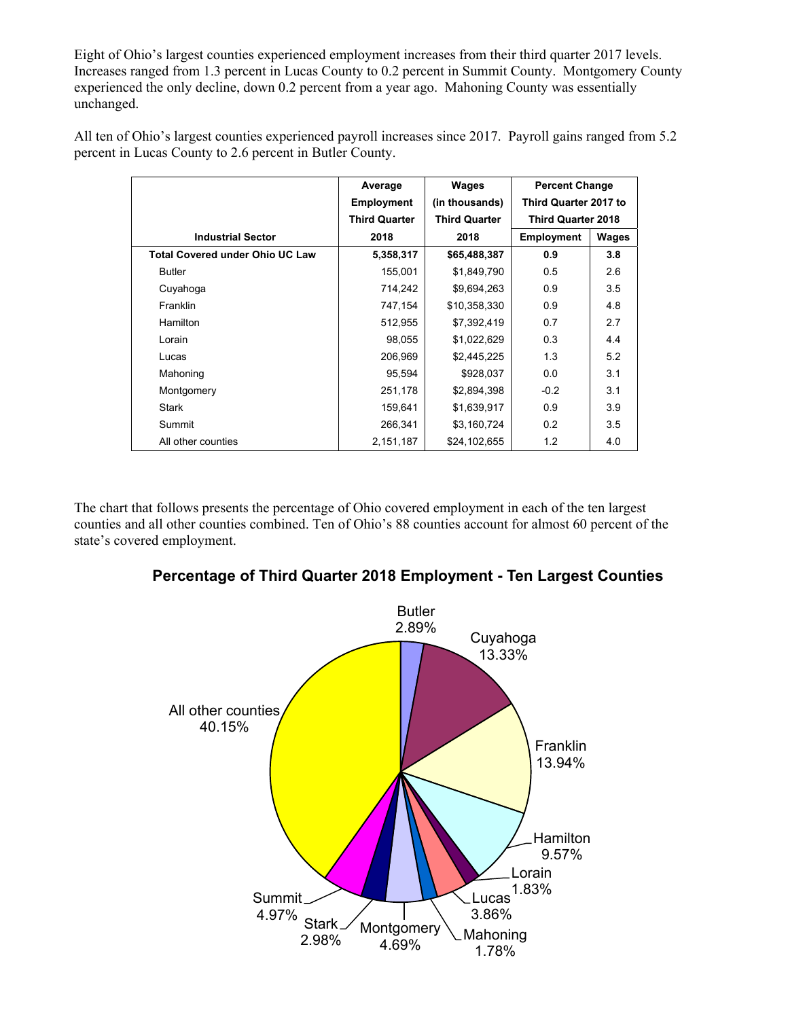Eight of Ohio's largest counties experienced employment increases from their third quarter 2017 levels. Increases ranged from 1.3 percent in Lucas County to 0.2 percent in Summit County. Montgomery County experienced the only decline, down 0.2 percent from a year ago. Mahoning County was essentially unchanged.

All ten of Ohio's largest counties experienced payroll increases since 2017. Payroll gains ranged from 5.2 percent in Lucas County to 2.6 percent in Butler County.

|                                        | Average              | Wages                | <b>Percent Change</b>     |       |
|----------------------------------------|----------------------|----------------------|---------------------------|-------|
|                                        | <b>Employment</b>    | (in thousands)       | Third Quarter 2017 to     |       |
|                                        | <b>Third Quarter</b> | <b>Third Quarter</b> | <b>Third Quarter 2018</b> |       |
| <b>Industrial Sector</b>               | 2018                 | 2018                 | <b>Employment</b>         | Wages |
| <b>Total Covered under Ohio UC Law</b> | 5,358,317            | \$65,488,387         | 0.9                       | 3.8   |
| <b>Butler</b>                          | 155,001              | \$1,849,790          | 0.5                       | 2.6   |
| Cuyahoga                               | 714,242              | \$9,694,263          | 0.9                       | 3.5   |
| Franklin                               | 747,154              | \$10,358,330         | 0.9                       | 4.8   |
| <b>Hamilton</b>                        | 512,955              | \$7,392,419          | 0.7                       | 2.7   |
| Lorain                                 | 98,055               | \$1,022,629          | 0.3                       | 4.4   |
| Lucas                                  | 206,969              | \$2,445,225          | 1.3                       | 5.2   |
| Mahoning                               | 95,594               | \$928,037            | 0.0                       | 3.1   |
| Montgomery                             | 251,178              | \$2,894,398          | $-0.2$                    | 3.1   |
| <b>Stark</b>                           | 159,641              | \$1,639,917          | 0.9                       | 3.9   |
| Summit                                 | 266,341              | \$3,160,724          | 0.2                       | 3.5   |
| All other counties                     | 2,151,187            | \$24,102,655         | 1.2                       | 4.0   |

The chart that follows presents the percentage of Ohio covered employment in each of the ten largest counties and all other counties combined. Ten of Ohio's 88 counties account for almost 60 percent of the state's covered employment.



**Percentage of Third Quarter 2018 Employment - Ten Largest Counties**